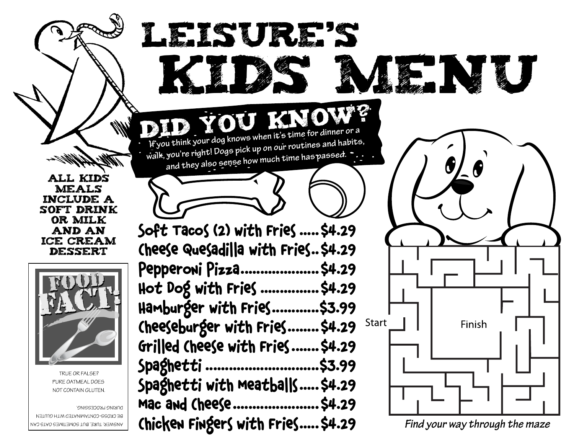All kids **MEALS** include a soft drink or milk and an ice cream dessert



TRUE OR FALSE? PURE OATMEAL DOES NOT CONTAIN GLUTEN.

DURING PROCESSING. BE CKOSS-CONTAMINATED WITH GLUTEN ANSWER: TURE, BUT SOMETIMES OATS CAN

Soft Tacos (2) with Fries .....\$4.29 Cheese Quesadilla with Fries..\$4.29 Pepperoni Pizza....................\$4.29 Hot Dog with Fries ...............\$4.29 Hamburger with Fries............\$3.99 Cheeseburger with Fries........ \$4.29 Start Grilled Cheese with Fries.......\$4.29 Spaghetti .............................\$3.99 Spaghetti with Meatballs.....\$4.29 Mac and Cheese......................\$4.29 Chicken Fingers with Fries.....\$4.29

Leisure's

**If you think your dog knows when it's time for dinner or a walk, you're right! Dogs pick up on our routines and habits, and they also sense how much time has passed.** 

Did You Know?



K. N. U

*Find your way through the maze*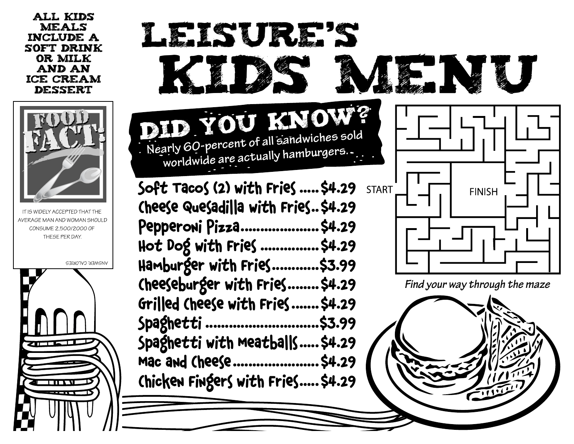All kids meals include a soft drink or milk and an ice cream dessert



IT IS WIDELY ACCEPTED THAT TH AVERAGE MAN AND WOMAN SHOULD CONSUME 2,500/2000 OF THESE PER DAY.

**ANSWER: CALORIES**